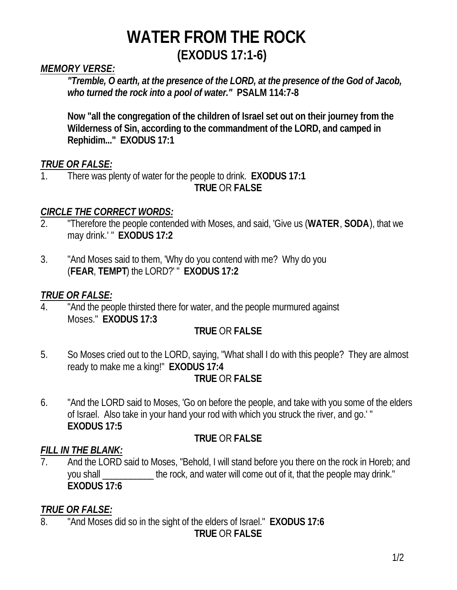## *MEMORY VERSE:*

*"Tremble, O earth, at the presence of the LORD, at the presence of the God of Jacob, who turned the rock into a pool of water."* **PSALM 114:7-8**

**Now "all the congregation of the children of Israel set out on their journey from the Wilderness of Sin, according to the commandment of the LORD, and camped in Rephidim..." EXODUS 17:1**

## *TRUE OR FALSE:*

1. There was plenty of water for the people to drink. **EXODUS 17:1 TRUE** OR **FALSE**

## *CIRCLE THE CORRECT WORDS:*

- 2. "Therefore the people contended with Moses, and said, 'Give us (**WATER**, **SODA**), that we may drink.' " **EXODUS 17:2**
- 3. "And Moses said to them, 'Why do you contend with me? Why do you (**FEAR**, **TEMPT**) the LORD?' " **EXODUS 17:2**

## *TRUE OR FALSE:*

4. "And the people thirsted there for water, and the people murmured against Moses." **EXODUS 17:3**

# **TRUE** OR **FALSE**

5. So Moses cried out to the LORD, saying, "What shall I do with this people? They are almost ready to make me a king!" **EXODUS 17:4**

# **TRUE** OR **FALSE**

6. "And the LORD said to Moses, 'Go on before the people, and take with you some of the elders of Israel. Also take in your hand your rod with which you struck the river, and go.' " **EXODUS 17:5**

# **TRUE** OR **FALSE**

#### *FILL IN THE BLANK:*

And the LORD said to Moses, "Behold, I will stand before you there on the rock in Horeb; and you shall \_\_\_\_\_\_\_\_\_\_\_ the rock, and water will come out of it, that the people may drink." **EXODUS 17:6**

# *TRUE OR FALSE:*

8. "And Moses did so in the sight of the elders of Israel." **EXODUS 17:6**

**TRUE** OR **FALSE**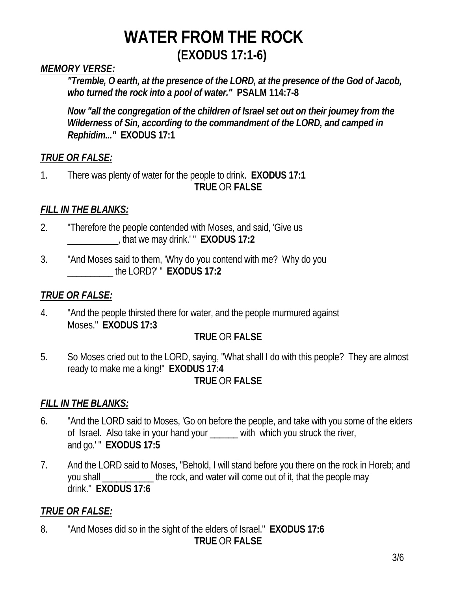# *MEMORY VERSE:*

*"Tremble, O earth, at the presence of the LORD, at the presence of the God of Jacob, who turned the rock into a pool of water."* **PSALM 114:7-8**

*Now "all the congregation of the children of Israel set out on their journey from the Wilderness of Sin, according to the commandment of the LORD, and camped in Rephidim..."* **EXODUS 17:1**

## *TRUE OR FALSE:*

1. There was plenty of water for the people to drink. **EXODUS 17:1 TRUE** OR **FALSE**

## *FILL IN THE BLANKS:*

- 2. "Therefore the people contended with Moses, and said, 'Give us \_\_\_\_\_\_\_\_\_\_\_, that we may drink.' " **EXODUS 17:2**
- 3. "And Moses said to them, 'Why do you contend with me? Why do you \_\_\_\_\_\_\_\_\_\_ the LORD?' " **EXODUS 17:2**

### *TRUE OR FALSE:*

4. "And the people thirsted there for water, and the people murmured against Moses." **EXODUS 17:3**

#### **TRUE** OR **FALSE**

5. So Moses cried out to the LORD, saying, "What shall I do with this people? They are almost ready to make me a king!" **EXODUS 17:4**

#### **TRUE** OR **FALSE**

#### *FILL IN THE BLANKS:*

- 6. "And the LORD said to Moses, 'Go on before the people, and take with you some of the elders of Israel. Also take in your hand your \_\_\_\_\_\_ with which you struck the river, and go.' " **EXODUS 17:5**
- 7. And the LORD said to Moses, "Behold, I will stand before you there on the rock in Horeb; and you shall **the rock, and water will come out of it, that the people may** drink." **EXODUS 17:6**

#### *TRUE OR FALSE:*

8. "And Moses did so in the sight of the elders of Israel." **EXODUS 17:6**

#### **TRUE** OR **FALSE**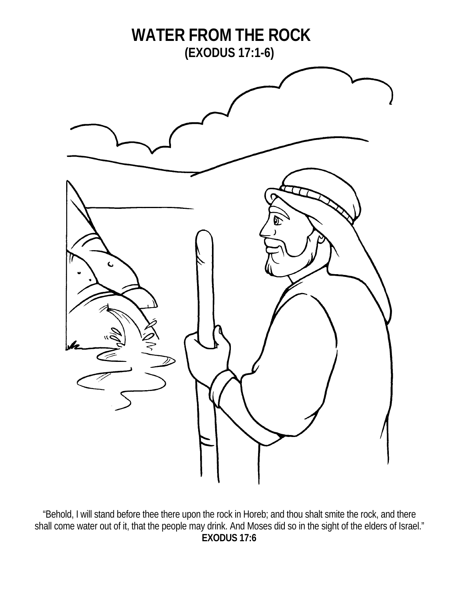

"Behold, I will stand before thee there upon the rock in Horeb; and thou shalt smite the rock, and there shall come water out of it, that the people may drink. And Moses did so in the sight of the elders of Israel." **EXODUS 17:6**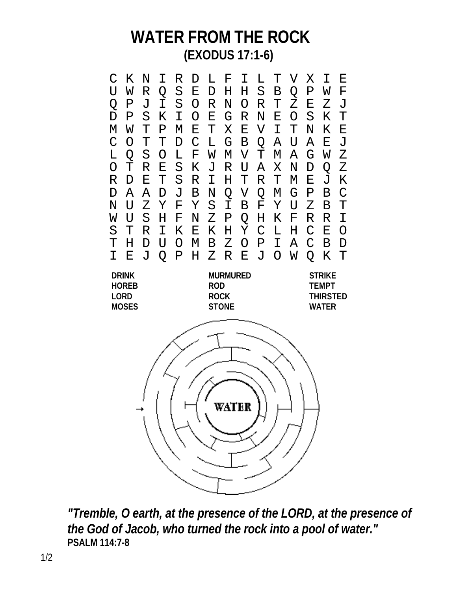

*"Tremble, O earth, at the presence of the LORD, at the presence of the God of Jacob, who turned the rock into a pool of water."* **PSALM 114:7-8**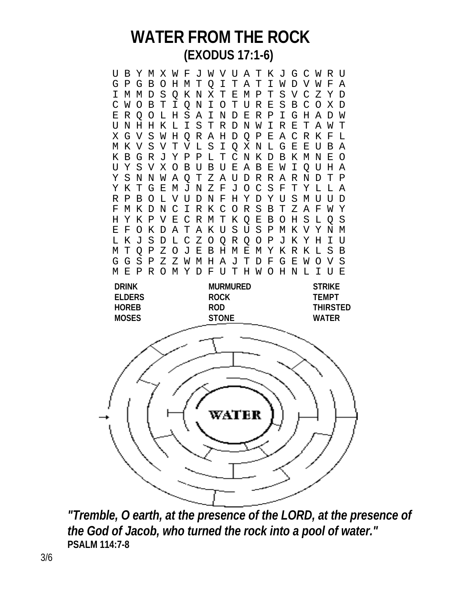U B Y M X W F J W V U A T K J G C W R U G P G B O H M T Q I T A T I W D V W F A I M M D S Q K N X T E M P T S V C Z Y D C W O B T I Q N I O T U R E S B C O X D E R Q O L H S A I N D E R P I G H A D W U N H H K L I S T R D N W I R E T A W T X G V S W H Q R A H D Q P E A C R K F L M K V S V T V L S I Q X N L G E E U B A K B G R J Y P P L T C N K D B K M N E O U Y S V X O B U B U E A B E W I Q U H A Y S N N W A Q T Z A U D R R A R N D T P Y K T G E M J N Z F J O C S F T Y L L A R P B O L V U D N F H Y D Y U S M U U D F M K D N C I R K C O R S B T Z A F W Y H Y K P V E C R M T K Q E B O H S L Q S E F O K D A T A K U S U S P M K V Y N M L K J S D L C Z O Q R Q O P J K Y H I U M T Q P Z O J E B H M E M Y K R K L S B G G S P Z Z W M H A J T D F G E W O V S M E P R O M Y D F U T H W O H N L I U E **DRINK MURMURED STRIKE ELDERS ROCK TEMPT HOREB ROD THIRSTED MOSES STONE WATER** WATER

*"Tremble, O earth, at the presence of the LORD, at the presence of the God of Jacob, who turned the rock into a pool of water."* **PSALM 114:7-8**